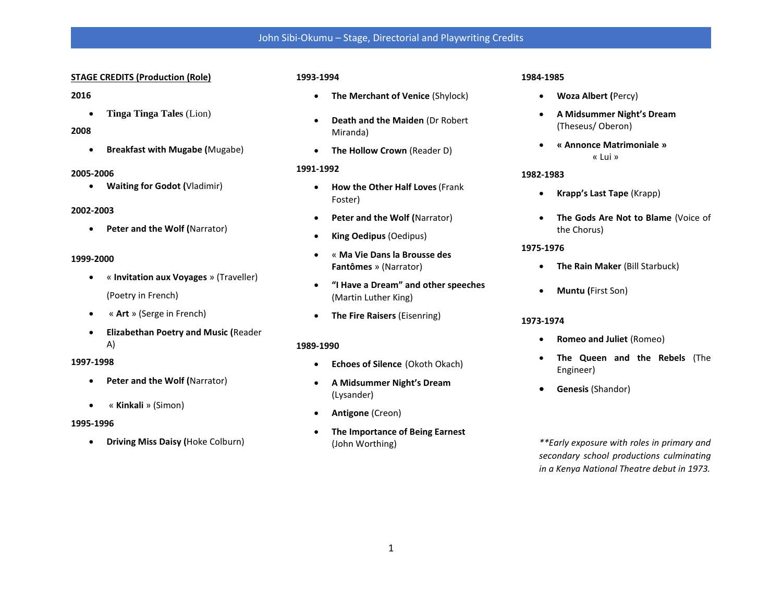# John Sibi-Okumu – Stage, Directorial and Playwriting Credits

## **STAGE CREDITS (Production (Role)**

## **2016**

• **Tinga Tinga Tales** (Lion)

# **2008**

• **Breakfast with Mugabe (**Mugabe)

#### **2005-2006**

• **Waiting for Godot (**Vladimir)

#### **2002-2003**

• **Peter and the Wolf (**Narrator)

#### **1999-2000**

- « **Invitation aux Voyages** » (Traveller) (Poetry in French)
- « **Art** » (Serge in French)
- **Elizabethan Poetry and Music (**Reader A)

#### **1997-1998**

- **Peter and the Wolf (**Narrator)
- « **Kinkali** » (Simon)

#### **1995-1996**

• **Driving Miss Daisy (**Hoke Colburn)

## **1993-1994**

- **The Merchant of Venice** (Shylock)
- **Death and the Maiden** (Dr Robert Miranda)
- **The Hollow Crown** (Reader D)

## **1991-1992**

- **How the Other Half Loves**(Frank Foster)
- **Peter and the Wolf (**Narrator)
- **King Oedipus** (Oedipus)
- « **Ma Vie Dans la Brousse des Fantômes** » (Narrator)
- **"I Have a Dream" and other speeches** (Martin Luther King)
- **The Fire Raisers** (Eisenring)

#### **1989-1990**

- **Echoes of Silence** (Okoth Okach)
- **A Midsummer Night's Dream** (Lysander)
- **Antigone** (Creon)
- **The Importance of Being Earnest** (John Worthing)

# **1984-1985**

- **Woza Albert (**Percy)
- **A Midsummer Night's Dream** (Theseus/ Oberon)
- **« Annonce Matrimoniale »** « Lui »

# **1982-1983**

- **Krapp's Last Tape** (Krapp)
- **The Gods Are Not to Blame** (Voice of the Chorus)

## **1975-1976**

- **The Rain Maker** (Bill Starbuck)
- **Muntu (**First Son)

#### **1973-1974**

- **Romeo and Juliet** (Romeo)
- **The Queen and the Rebels** (The Engineer)
- **Genesis** (Shandor)

*\*\*Early exposure with roles in primary and secondary school productions culminating in a Kenya National Theatre debut in 1973.*